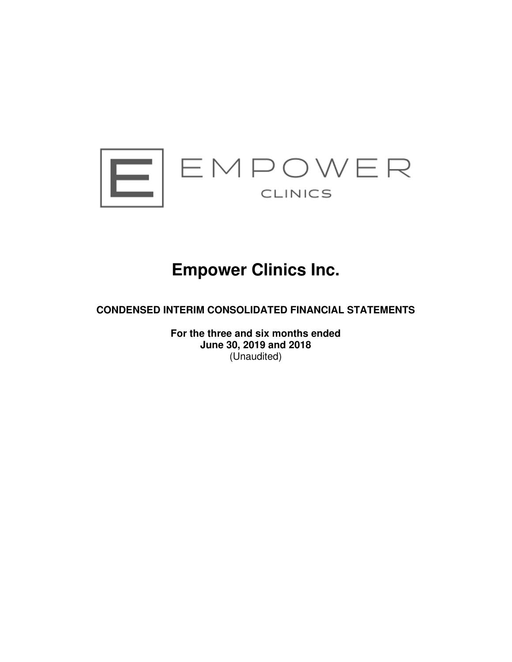

# **Empower Clinics Inc.**

**CONDENSED INTERIM CONSOLIDATED FINANCIAL STATEMENTS** 

**For the three and six months ended June 30, 2019 and 2018**  (Unaudited)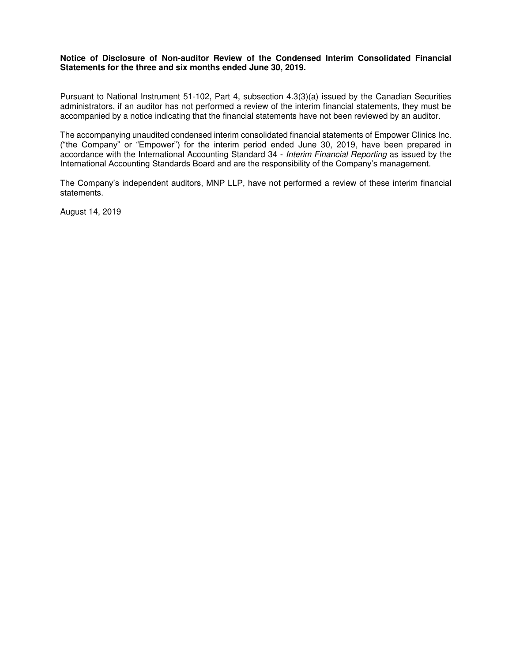# **Notice of Disclosure of Non-auditor Review of the Condensed Interim Consolidated Financial Statements for the three and six months ended June 30, 2019.**

Pursuant to National Instrument 51-102, Part 4, subsection 4.3(3)(a) issued by the Canadian Securities administrators, if an auditor has not performed a review of the interim financial statements, they must be accompanied by a notice indicating that the financial statements have not been reviewed by an auditor.

The accompanying unaudited condensed interim consolidated financial statements of Empower Clinics Inc. ("the Company" or "Empower") for the interim period ended June 30, 2019, have been prepared in accordance with the International Accounting Standard 34 - Interim Financial Reporting as issued by the International Accounting Standards Board and are the responsibility of the Company's management.

The Company's independent auditors, MNP LLP, have not performed a review of these interim financial statements.

August 14, 2019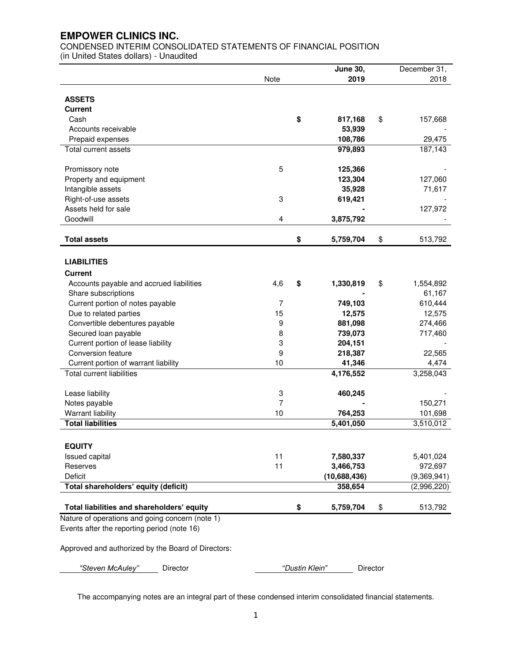CONDENSED INTERIM CONSOLIDATED STATEMENTS OF FINANCIAL POSITION (in United States dollars) - Unaudited

|                                                 |                | <b>June 30,</b> | December 31,    |
|-------------------------------------------------|----------------|-----------------|-----------------|
|                                                 | <b>Note</b>    | 2019            | 2018            |
|                                                 |                |                 |                 |
| <b>ASSETS</b>                                   |                |                 |                 |
| <b>Current</b>                                  |                |                 |                 |
| Cash                                            |                | \$<br>817,168   | \$<br>157,668   |
| Accounts receivable                             |                | 53,939          |                 |
| Prepaid expenses                                |                | 108,786         | 29,475          |
| Total current assets                            |                | 979,893         | 187,143         |
| Promissory note                                 | 5              | 125,366         |                 |
| Property and equipment                          |                | 123,304         | 127,060         |
| Intangible assets                               |                | 35,928          | 71,617          |
| Right-of-use assets                             | 3              | 619,421         |                 |
| Assets held for sale                            |                |                 | 127,972         |
| Goodwill                                        | 4              | 3,875,792       |                 |
|                                                 |                |                 |                 |
| <b>Total assets</b>                             |                | \$<br>5,759,704 | \$<br>513,792   |
|                                                 |                |                 |                 |
| <b>LIABILITIES</b>                              |                |                 |                 |
| <b>Current</b>                                  |                |                 |                 |
| Accounts payable and accrued liabilities        | 4,6            | \$<br>1,330,819 | \$<br>1,554,892 |
| Share subscriptions                             |                |                 | 61,167          |
| Current portion of notes payable                | $\overline{7}$ | 749,103         | 610,444         |
| Due to related parties                          | 15             | 12,575          | 12,575          |
| Convertible debentures payable                  | 9              | 881,098         | 274,466         |
| Secured loan payable                            | 8              | 739,073         | 717,460         |
| Current portion of lease liability              | 3              | 204,151         |                 |
| Conversion feature                              | 9              | 218,387         | 22,565          |
| Current portion of warrant liability            | 10             | 41,346          | 4,474           |
| <b>Total current liabilities</b>                |                | 4,176,552       | 3,258,043       |
| Lease liability                                 | 3              | 460,245         |                 |
| Notes payable                                   | 7              |                 | 150,271         |
| <b>Warrant liability</b>                        | 10             | 764,253         | 101,698         |
| <b>Total liabilities</b>                        |                | 5,401,050       | 3,510,012       |
|                                                 |                |                 |                 |
| <b>EQUITY</b>                                   |                |                 |                 |
| <b>Issued capital</b>                           | 11             | 7,580,337       | 5,401,024       |
| Reserves                                        | 11             | 3,466,753       | 972,697         |
| Deficit                                         |                | (10,688,436)    | (9,369,941)     |
| Total shareholders' equity (deficit)            |                | 358,654         | (2,996,220)     |
|                                                 |                |                 |                 |
| Total liabilities and shareholders' equity      |                | \$<br>5,759,704 | \$<br>513,792   |
| Nature of operations and going concern (note 1) |                |                 |                 |
| Events after the reporting period (note 16)     |                |                 |                 |

Approved and authorized by the Board of Directors:

*"Steven McAuley"* Director *"*Dustin Klein*"* Director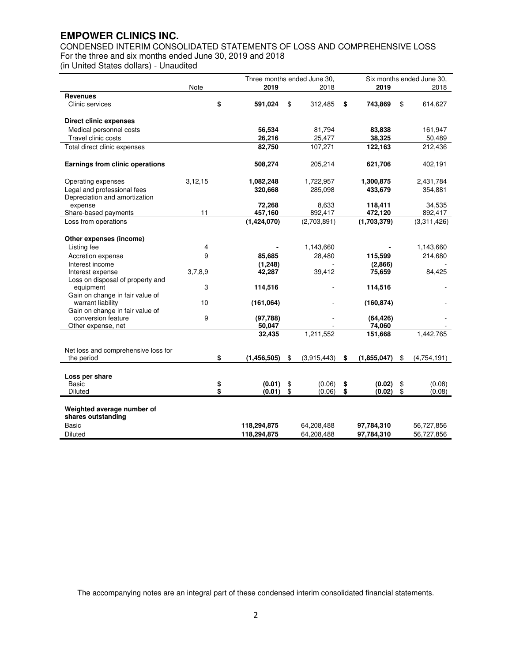CONDENSED INTERIM CONSOLIDATED STATEMENTS OF LOSS AND COMPREHENSIVE LOSS For the three and six months ended June 30, 2019 and 2018

(in United States dollars) - Unaudited

|                                                              | Three months ended June 30, |    |               |    | Six months ended June 30, |    |             |    |             |
|--------------------------------------------------------------|-----------------------------|----|---------------|----|---------------------------|----|-------------|----|-------------|
|                                                              | Note                        |    | 2019          |    | 2018                      |    | 2019        |    | 2018        |
| <b>Revenues</b>                                              |                             |    |               |    |                           |    |             |    |             |
| Clinic services                                              |                             | \$ | 591,024       | \$ | 312,485                   | \$ | 743,869     | \$ | 614,627     |
| <b>Direct clinic expenses</b>                                |                             |    |               |    |                           |    |             |    |             |
| Medical personnel costs                                      |                             |    | 56,534        |    | 81,794                    |    | 83,838      |    | 161,947     |
| Travel clinic costs                                          |                             |    | 26,216        |    | 25,477                    |    | 38,325      |    | 50,489      |
| Total direct clinic expenses                                 |                             |    | 82,750        |    | 107,271                   |    | 122,163     |    | 212,436     |
| Earnings from clinic operations                              |                             |    | 508,274       |    | 205,214                   |    | 621,706     |    | 402,191     |
| Operating expenses                                           | 3,12,15                     |    | 1,082,248     |    | 1,722,957                 |    | 1,300,875   |    | 2,431,784   |
| Legal and professional fees<br>Depreciation and amortization |                             |    | 320,668       |    | 285,098                   |    | 433,679     |    | 354,881     |
| expense                                                      |                             |    | 72,268        |    | 8,633                     |    | 118,411     |    | 34,535      |
| Share-based payments                                         | 11                          |    | 457,160       |    | 892,417                   |    | 472,120     |    | 892,417     |
| Loss from operations                                         |                             |    | (1,424,070)   |    | (2,703,891)               |    | (1,703,379) |    | (3,311,426) |
| Other expenses (income)                                      |                             |    |               |    |                           |    |             |    |             |
| Listing fee                                                  | 4                           |    |               |    | 1,143,660                 |    |             |    | 1,143,660   |
| Accretion expense                                            | 9                           |    | 85,685        |    | 28,480                    |    | 115,599     |    | 214,680     |
| Interest income                                              |                             |    | (1, 248)      |    |                           |    | (2,866)     |    |             |
| Interest expense                                             | 3,7,8,9                     |    | 42,287        |    | 39,412                    |    | 75,659      |    | 84,425      |
| Loss on disposal of property and                             |                             |    |               |    |                           |    |             |    |             |
| equipment                                                    | 3                           |    | 114,516       |    |                           |    | 114,516     |    |             |
| Gain on change in fair value of                              |                             |    |               |    |                           |    |             |    |             |
| warrant liability<br>Gain on change in fair value of         | 10                          |    | (161,064)     |    |                           |    | (160, 874)  |    |             |
| conversion feature                                           | 9                           |    | (97,788)      |    |                           |    | (64, 426)   |    |             |
| Other expense, net                                           |                             |    | 50,047        |    |                           |    | 74,060      |    |             |
|                                                              |                             |    | 32,435        |    | 1,211,552                 |    | 151,668     |    | 1,442,765   |
| Net loss and comprehensive loss for                          |                             |    |               |    |                           |    |             |    |             |
| the period                                                   |                             | \$ | (1, 456, 505) | \$ | (3,915,443)               | \$ | (1,855,047) | \$ | (4,754,191) |
| Loss per share                                               |                             |    |               |    |                           |    |             |    |             |
| Basic                                                        |                             | \$ | (0.01)        | \$ | (0.06)                    | \$ | (0.02)      | \$ | (0.08)      |
| Diluted                                                      |                             | \$ | (0.01)        | \$ | (0.06)                    | \$ | (0.02)      | \$ | (0.08)      |
| Weighted average number of<br>shares outstanding             |                             |    |               |    |                           |    |             |    |             |
| Basic                                                        |                             |    | 118,294,875   |    | 64,208,488                |    | 97,784,310  |    | 56,727,856  |
| Diluted                                                      |                             |    | 118,294,875   |    | 64,208,488                |    | 97,784,310  |    | 56,727,856  |
|                                                              |                             |    |               |    |                           |    |             |    |             |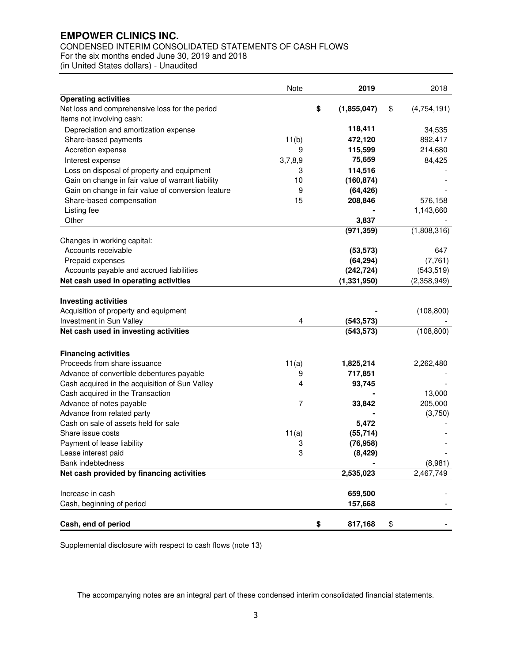# CONDENSED INTERIM CONSOLIDATED STATEMENTS OF CASH FLOWS

For the six months ended June 30, 2019 and 2018

(in United States dollars) - Unaudited

|                                                                                                  | Note    | 2019              | 2018              |
|--------------------------------------------------------------------------------------------------|---------|-------------------|-------------------|
| <b>Operating activities</b>                                                                      |         |                   |                   |
| Net loss and comprehensive loss for the period                                                   |         | \$<br>(1,855,047) | \$<br>(4,754,191) |
| Items not involving cash:                                                                        |         |                   |                   |
| Depreciation and amortization expense                                                            |         | 118,411           | 34,535            |
| Share-based payments                                                                             | 11(b)   | 472,120           | 892,417           |
| Accretion expense                                                                                | 9       | 115,599           | 214,680           |
| Interest expense                                                                                 | 3,7,8,9 | 75,659            | 84,425            |
| Loss on disposal of property and equipment                                                       | 3       | 114,516           |                   |
| Gain on change in fair value of warrant liability                                                | 10      | (160, 874)        |                   |
| Gain on change in fair value of conversion feature                                               | 9       | (64, 426)         |                   |
| Share-based compensation                                                                         | 15      | 208,846           | 576,158           |
| Listing fee                                                                                      |         |                   | 1,143,660         |
| Other                                                                                            |         | 3,837             |                   |
|                                                                                                  |         | (971, 359)        | (1,808,316)       |
| Changes in working capital:                                                                      |         |                   |                   |
| Accounts receivable                                                                              |         | (53, 573)         | 647               |
| Prepaid expenses                                                                                 |         | (64, 294)         | (7, 761)          |
| Accounts payable and accrued liabilities                                                         |         | (242, 724)        | (543, 519)        |
| Net cash used in operating activities                                                            |         | (1, 331, 950)     | (2,358,949)       |
| <b>Investing activities</b><br>Acquisition of property and equipment<br>Investment in Sun Valley | 4       | (543, 573)        | (108, 800)        |
| Net cash used in investing activities                                                            |         | (543, 573)        | (108, 800)        |
| <b>Financing activities</b>                                                                      |         |                   |                   |
| Proceeds from share issuance                                                                     | 11(a)   | 1,825,214         | 2,262,480         |
| Advance of convertible debentures payable                                                        | 9       | 717,851           |                   |
| Cash acquired in the acquisition of Sun Valley                                                   | 4       | 93,745            |                   |
| Cash acquired in the Transaction                                                                 |         |                   | 13,000            |
| Advance of notes payable                                                                         | 7       | 33,842            | 205,000           |
| Advance from related party                                                                       |         |                   | (3,750)           |
| Cash on sale of assets held for sale                                                             |         | 5,472             |                   |
| Share issue costs                                                                                | 11(a)   | (55, 714)         |                   |
| Payment of lease liability                                                                       | 3       | (76, 958)         |                   |
| Lease interest paid                                                                              | 3       | (8, 429)          |                   |
| Bank indebtedness                                                                                |         |                   | (8,981)           |
| Net cash provided by financing activities                                                        |         | 2,535,023         | 2,467,749         |
|                                                                                                  |         |                   |                   |
| Increase in cash                                                                                 |         | 659,500           |                   |
| Cash, beginning of period                                                                        |         | 157,668           |                   |
| Cash, end of period                                                                              |         | \$<br>817,168     | \$                |

Supplemental disclosure with respect to cash flows (note 13)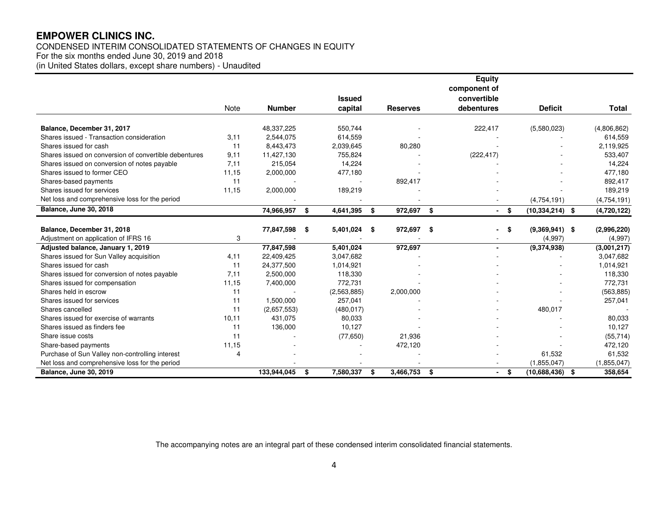# CONDENSED INTERIM CONSOLIDATED STATEMENTS OF CHANGES IN EQUITY For the six months ended June 30, 2019 and 2018

(in United States dollars, except share numbers) - Unaudited

|                                                       |       |               |                 |                    |     | <b>Equity</b> |                     |              |
|-------------------------------------------------------|-------|---------------|-----------------|--------------------|-----|---------------|---------------------|--------------|
|                                                       |       |               |                 |                    |     | component of  |                     |              |
|                                                       |       |               | <b>Issued</b>   |                    |     | convertible   |                     |              |
|                                                       | Note  | <b>Number</b> | capital         | <b>Reserves</b>    |     | debentures    | <b>Deficit</b>      | <b>Total</b> |
| Balance, December 31, 2017                            |       | 48,337,225    | 550,744         |                    |     | 222,417       | (5,580,023)         | (4,806,862)  |
| Shares issued - Transaction consideration             | 3,11  | 2,544,075     | 614,559         |                    |     |               |                     | 614,559      |
| Shares issued for cash                                | 11    | 8,443,473     | 2,039,645       | 80,280             |     |               |                     | 2,119,925    |
| Shares issued on conversion of convertible debentures | 9,11  | 11,427,130    | 755,824         |                    |     | (222, 417)    |                     | 533,407      |
| Shares issued on conversion of notes payable          | 7,11  | 215,054       | 14,224          |                    |     |               |                     | 14,224       |
| Shares issued to former CEO                           | 11,15 | 2,000,000     | 477,180         |                    |     |               |                     | 477,180      |
| Shares-based payments                                 | 11    |               |                 | 892,417            |     |               |                     | 892,417      |
| Shares issued for services                            | 11,15 | 2,000,000     | 189,219         |                    |     |               |                     | 189,219      |
| Net loss and comprehensive loss for the period        |       |               |                 |                    |     |               | (4,754,191)         | (4,754,191)  |
| <b>Balance, June 30, 2018</b>                         |       | 74,966,957    | \$<br>4,641,395 | \$<br>972,697 \$   |     | - \$          | $(10, 334, 214)$ \$ | (4,720,122)  |
|                                                       |       |               |                 |                    |     |               |                     |              |
| Balance, December 31, 2018                            |       | 77,847,598    | \$<br>5,401,024 | \$<br>972,697      | -\$ | \$            | $(9,369,941)$ \$    | (2,996,220)  |
| Adjustment on application of IFRS 16                  | 3     |               |                 |                    |     |               | (4,997)             | (4,997)      |
| Adjusted balance, January 1, 2019                     |       | 77,847,598    | 5,401,024       | 972,697            |     |               | (9,374,938)         | (3,001,217)  |
| Shares issued for Sun Valley acquisition              | 4,11  | 22,409,425    | 3,047,682       |                    |     |               |                     | 3,047,682    |
| Shares issued for cash                                | 11    | 24,377,500    | 1,014,921       |                    |     |               |                     | 1,014,921    |
| Shares issued for conversion of notes payable         | 7,11  | 2,500,000     | 118,330         |                    |     |               |                     | 118,330      |
| Shares issued for compensation                        | 11,15 | 7,400,000     | 772,731         |                    |     |               |                     | 772,731      |
| Shares held in escrow                                 | 11    |               | (2,563,885)     | 2,000,000          |     |               |                     | (563, 885)   |
| Shares issued for services                            | 11    | 1,500,000     | 257,041         |                    |     |               |                     | 257,041      |
| Shares cancelled                                      | 11    | (2,657,553)   | (480, 017)      |                    |     |               | 480,017             |              |
| Shares issued for exercise of warrants                | 10,11 | 431,075       | 80,033          |                    |     |               |                     | 80,033       |
| Shares issued as finders fee                          | 11    | 136,000       | 10,127          |                    |     |               |                     | 10,127       |
| Share issue costs                                     | 11    |               | (77,650)        | 21,936             |     |               |                     | (55, 714)    |
| Share-based payments                                  | 11,15 |               |                 | 472,120            |     |               |                     | 472,120      |
| Purchase of Sun Valley non-controlling interest       | 4     |               |                 |                    |     |               | 61,532              | 61,532       |
| Net loss and comprehensive loss for the period        |       |               |                 |                    |     |               | (1,855,047)         | (1,855,047)  |
| <b>Balance, June 30, 2019</b>                         |       | 133,944,045   | \$<br>7,580,337 | \$<br>3,466,753 \$ |     | $-$ \$        | $(10,688,436)$ \$   | 358,654      |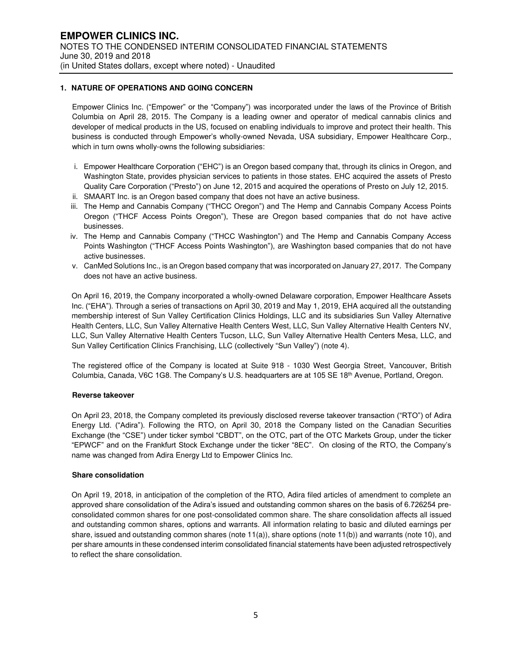#### **1. NATURE OF OPERATIONS AND GOING CONCERN**

Empower Clinics Inc. ("Empower" or the "Company") was incorporated under the laws of the Province of British Columbia on April 28, 2015. The Company is a leading owner and operator of medical cannabis clinics and developer of medical products in the US, focused on enabling individuals to improve and protect their health. This business is conducted through Empower's wholly-owned Nevada, USA subsidiary, Empower Healthcare Corp., which in turn owns wholly-owns the following subsidiaries:

- i. Empower Healthcare Corporation ("EHC") is an Oregon based company that, through its clinics in Oregon, and Washington State, provides physician services to patients in those states. EHC acquired the assets of Presto Quality Care Corporation ("Presto") on June 12, 2015 and acquired the operations of Presto on July 12, 2015.
- ii. SMAART Inc. is an Oregon based company that does not have an active business.
- iii. The Hemp and Cannabis Company ("THCC Oregon") and The Hemp and Cannabis Company Access Points Oregon ("THCF Access Points Oregon"), These are Oregon based companies that do not have active businesses.
- iv. The Hemp and Cannabis Company ("THCC Washington") and The Hemp and Cannabis Company Access Points Washington ("THCF Access Points Washington"), are Washington based companies that do not have active businesses.
- v. CanMed Solutions Inc., is an Oregon based company that was incorporated on January 27, 2017. The Company does not have an active business.

On April 16, 2019, the Company incorporated a wholly-owned Delaware corporation, Empower Healthcare Assets Inc. ("EHA"). Through a series of transactions on April 30, 2019 and May 1, 2019, EHA acquired all the outstanding membership interest of Sun Valley Certification Clinics Holdings, LLC and its subsidiaries Sun Valley Alternative Health Centers, LLC, Sun Valley Alternative Health Centers West, LLC, Sun Valley Alternative Health Centers NV, LLC, Sun Valley Alternative Health Centers Tucson, LLC, Sun Valley Alternative Health Centers Mesa, LLC, and Sun Valley Certification Clinics Franchising, LLC (collectively "Sun Valley") (note 4).

The registered office of the Company is located at Suite 918 - 1030 West Georgia Street, Vancouver, British Columbia, Canada, V6C 1G8. The Company's U.S. headquarters are at 105 SE 18<sup>th</sup> Avenue, Portland, Oregon.

#### **Reverse takeover**

On April 23, 2018, the Company completed its previously disclosed reverse takeover transaction ("RTO") of Adira Energy Ltd. ("Adira"). Following the RTO, on April 30, 2018 the Company listed on the Canadian Securities Exchange (the "CSE") under ticker symbol "CBDT", on the OTC, part of the OTC Markets Group, under the ticker "EPWCF" and on the Frankfurt Stock Exchange under the ticker "8EC". On closing of the RTO, the Company's name was changed from Adira Energy Ltd to Empower Clinics Inc.

#### **Share consolidation**

On April 19, 2018, in anticipation of the completion of the RTO, Adira filed articles of amendment to complete an approved share consolidation of the Adira's issued and outstanding common shares on the basis of 6.726254 preconsolidated common shares for one post-consolidated common share. The share consolidation affects all issued and outstanding common shares, options and warrants. All information relating to basic and diluted earnings per share, issued and outstanding common shares (note 11(a)), share options (note 11(b)) and warrants (note 10), and per share amounts in these condensed interim consolidated financial statements have been adjusted retrospectively to reflect the share consolidation.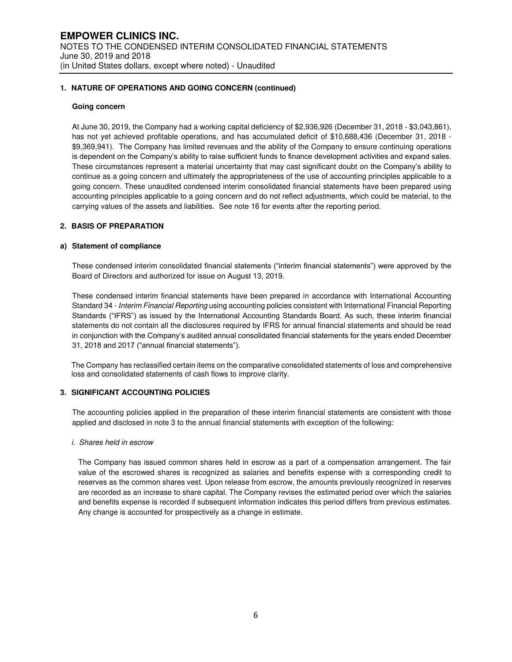#### **1. NATURE OF OPERATIONS AND GOING CONCERN (continued)**

#### **Going concern**

At June 30, 2019, the Company had a working capital deficiency of \$2,936,926 (December 31, 2018 - \$3,043,861), has not yet achieved profitable operations, and has accumulated deficit of \$10,688,436 (December 31, 2018 - \$9,369,941). The Company has limited revenues and the ability of the Company to ensure continuing operations is dependent on the Company's ability to raise sufficient funds to finance development activities and expand sales. These circumstances represent a material uncertainty that may cast significant doubt on the Company's ability to continue as a going concern and ultimately the appropriateness of the use of accounting principles applicable to a going concern. These unaudited condensed interim consolidated financial statements have been prepared using accounting principles applicable to a going concern and do not reflect adjustments, which could be material, to the carrying values of the assets and liabilities. See note 16 for events after the reporting period.

## **2. BASIS OF PREPARATION**

#### **a) Statement of compliance**

These condensed interim consolidated financial statements ("interim financial statements") were approved by the Board of Directors and authorized for issue on August 13, 2019.

These condensed interim financial statements have been prepared in accordance with International Accounting Standard 34 - Interim Financial Reporting using accounting policies consistent with International Financial Reporting Standards ("IFRS") as issued by the International Accounting Standards Board. As such, these interim financial statements do not contain all the disclosures required by IFRS for annual financial statements and should be read in conjunction with the Company's audited annual consolidated financial statements for the years ended December 31, 2018 and 2017 ("annual financial statements").

The Company has reclassified certain items on the comparative consolidated statements of loss and comprehensive loss and consolidated statements of cash flows to improve clarity.

#### **3. SIGNIFICANT ACCOUNTING POLICIES**

The accounting policies applied in the preparation of these interim financial statements are consistent with those applied and disclosed in note 3 to the annual financial statements with exception of the following:

#### i. Shares held in escrow

The Company has issued common shares held in escrow as a part of a compensation arrangement. The fair value of the escrowed shares is recognized as salaries and benefits expense with a corresponding credit to reserves as the common shares vest. Upon release from escrow, the amounts previously recognized in reserves are recorded as an increase to share capital. The Company revises the estimated period over which the salaries and benefits expense is recorded if subsequent information indicates this period differs from previous estimates. Any change is accounted for prospectively as a change in estimate.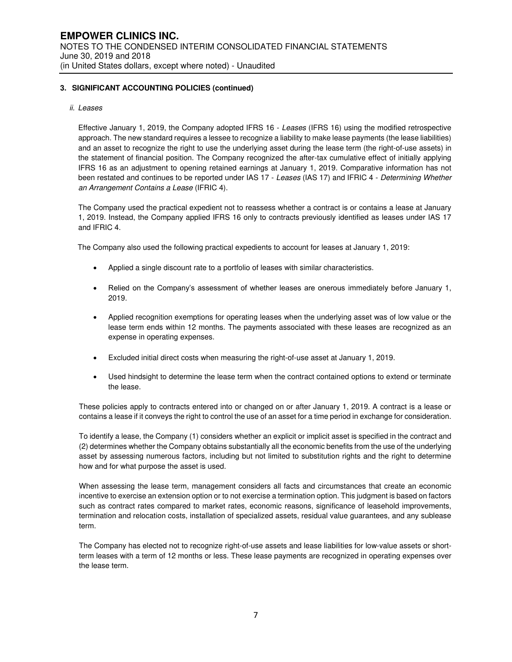#### ii. Leases

Effective January 1, 2019, the Company adopted IFRS 16 - Leases (IFRS 16) using the modified retrospective approach. The new standard requires a lessee to recognize a liability to make lease payments (the lease liabilities) and an asset to recognize the right to use the underlying asset during the lease term (the right-of-use assets) in the statement of financial position. The Company recognized the after-tax cumulative effect of initially applying IFRS 16 as an adjustment to opening retained earnings at January 1, 2019. Comparative information has not been restated and continues to be reported under IAS 17 - Leases (IAS 17) and IFRIC 4 - Determining Whether an Arrangement Contains a Lease (IFRIC 4).

The Company used the practical expedient not to reassess whether a contract is or contains a lease at January 1, 2019. Instead, the Company applied IFRS 16 only to contracts previously identified as leases under IAS 17 and IFRIC 4.

The Company also used the following practical expedients to account for leases at January 1, 2019:

- Applied a single discount rate to a portfolio of leases with similar characteristics.
- Relied on the Company's assessment of whether leases are onerous immediately before January 1, 2019.
- Applied recognition exemptions for operating leases when the underlying asset was of low value or the lease term ends within 12 months. The payments associated with these leases are recognized as an expense in operating expenses.
- Excluded initial direct costs when measuring the right-of-use asset at January 1, 2019.
- Used hindsight to determine the lease term when the contract contained options to extend or terminate the lease.

These policies apply to contracts entered into or changed on or after January 1, 2019. A contract is a lease or contains a lease if it conveys the right to control the use of an asset for a time period in exchange for consideration.

To identify a lease, the Company (1) considers whether an explicit or implicit asset is specified in the contract and (2) determines whether the Company obtains substantially all the economic benefits from the use of the underlying asset by assessing numerous factors, including but not limited to substitution rights and the right to determine how and for what purpose the asset is used.

When assessing the lease term, management considers all facts and circumstances that create an economic incentive to exercise an extension option or to not exercise a termination option. This judgment is based on factors such as contract rates compared to market rates, economic reasons, significance of leasehold improvements, termination and relocation costs, installation of specialized assets, residual value guarantees, and any sublease term.

The Company has elected not to recognize right-of-use assets and lease liabilities for low-value assets or shortterm leases with a term of 12 months or less. These lease payments are recognized in operating expenses over the lease term.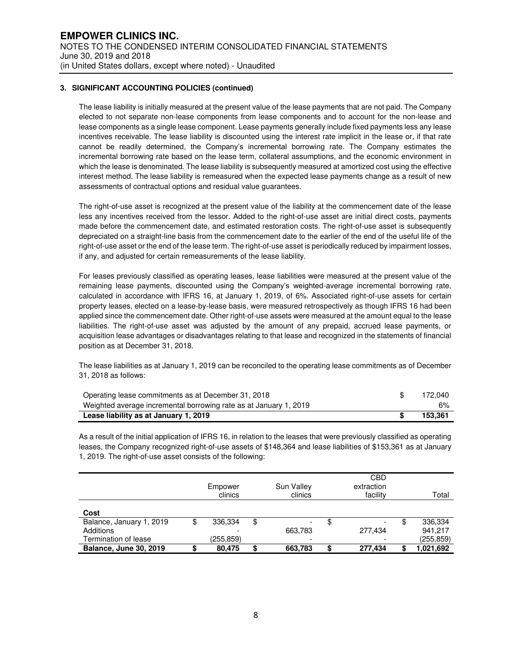The lease liability is initially measured at the present value of the lease payments that are not paid. The Company elected to not separate non-lease components from lease components and to account for the non-lease and lease components as a single lease component. Lease payments generally include fixed payments less any lease incentives receivable. The lease liability is discounted using the interest rate implicit in the lease or, if that rate cannot be readily determined, the Company's incremental borrowing rate. The Company estimates the incremental borrowing rate based on the lease term, collateral assumptions, and the economic environment in which the lease is denominated. The lease liability is subsequently measured at amortized cost using the effective interest method. The lease liability is remeasured when the expected lease payments change as a result of new assessments of contractual options and residual value guarantees.

The right-of-use asset is recognized at the present value of the liability at the commencement date of the lease less any incentives received from the lessor. Added to the right-of-use asset are initial direct costs, payments made before the commencement date, and estimated restoration costs. The right-of-use asset is subsequently depreciated on a straight-line basis from the commencement date to the earlier of the end of the useful life of the right-of-use asset or the end of the lease term. The right-of-use asset is periodically reduced by impairment losses, if any, and adjusted for certain remeasurements of the lease liability.

For leases previously classified as operating leases, lease liabilities were measured at the present value of the remaining lease payments, discounted using the Company's weighted-average incremental borrowing rate, calculated in accordance with IFRS 16, at January 1, 2019, of 6%. Associated right-of-use assets for certain property leases, elected on a lease-by-lease basis, were measured retrospectively as though IFRS 16 had been applied since the commencement date. Other right-of-use assets were measured at the amount equal to the lease liabilities. The right-of-use asset was adjusted by the amount of any prepaid, accrued lease payments, or acquisition lease advantages or disadvantages relating to that lease and recognized in the statements of financial position as at December 31, 2018.

The lease liabilities as at January 1, 2019 can be reconciled to the operating lease commitments as of December 31, 2018 as follows:

| Operating lease commitments as at December 31, 2018               | 172.040 |
|-------------------------------------------------------------------|---------|
| Weighted average incremental borrowing rate as at January 1, 2019 | 6%      |
| Lease liability as at January 1, 2019                             | 153.361 |

As a result of the initial application of IFRS 16, in relation to the leases that were previously classified as operating leases, the Company recognized right-of-use assets of \$148,364 and lease liabilities of \$153,361 as at January 1, 2019. The right-of-use asset consists of the following:

|                               | Empower<br>clinics |    | Sun Valley<br>clinics    | <b>CBD</b><br>extraction<br>facility | Total     |
|-------------------------------|--------------------|----|--------------------------|--------------------------------------|-----------|
| Cost                          |                    |    |                          |                                      |           |
| Balance, January 1, 2019      | 336.334            | \$ | $\overline{\phantom{0}}$ | \$                                   | 336,334   |
| Additions                     |                    |    | 663,783                  | 277.434                              | 941.217   |
| Termination of lease          | (255,859)          |    | $\overline{\phantom{0}}$ |                                      | (255,859) |
| <b>Balance, June 30, 2019</b> | 80.475             | S  | 663,783                  | \$<br>277.434                        | 1,021,692 |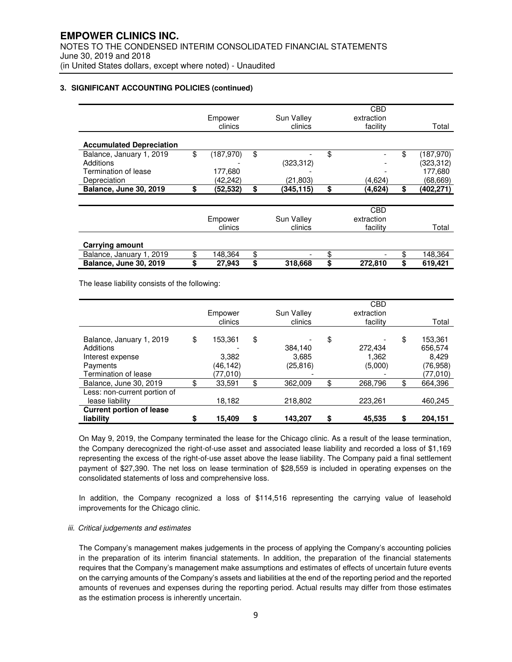|                                 |                 |                 | CBD           |                 |
|---------------------------------|-----------------|-----------------|---------------|-----------------|
|                                 | Empower         | Sun Valley      | extraction    |                 |
|                                 | clinics         | clinics         | facility      | Total           |
|                                 |                 |                 |               |                 |
| <b>Accumulated Depreciation</b> |                 |                 |               |                 |
| Balance, January 1, 2019        | \$<br>(187,970) | \$              | \$            | \$<br>(187,970) |
| Additions                       |                 | (323, 312)      |               | (323,312)       |
| Termination of lease            | 177,680         |                 |               | 177,680         |
| Depreciation                    | (42,242)        | (21,803)        | (4,624)       | (68, 669)       |
| Balance, June 30, 2019          | \$<br>(52, 532) | \$<br>(345,115) | \$<br>(4,624) | \$<br>(402,271) |
|                                 |                 |                 |               |                 |
|                                 |                 |                 | <b>CBD</b>    |                 |
|                                 | Empower         | Sun Valley      | extraction    |                 |
|                                 | clinics         | clinics         | facility      | Total           |
| <b>Carrying amount</b>          |                 |                 |               |                 |
| Balance, January 1, 2019        | \$<br>148,364   | \$              | \$            | \$<br>148,364   |
| <b>Balance, June 30, 2019</b>   | \$<br>27.943    | \$<br>318,668   | \$<br>272.810 | \$<br>619.421   |

The lease liability consists of the following:

|                                                                                               | Empower<br>clinics                             | Sun Valley<br>clinics               | <b>CBD</b><br>extraction<br>facility | Total                                                      |
|-----------------------------------------------------------------------------------------------|------------------------------------------------|-------------------------------------|--------------------------------------|------------------------------------------------------------|
| Balance, January 1, 2019<br>Additions<br>Interest expense<br>Payments<br>Termination of lease | \$<br>153.361<br>3,382<br>(46,142)<br>(77,010) | \$<br>384,140<br>3,685<br>(25, 816) | \$<br>272,434<br>1,362<br>(5,000)    | \$<br>153,361<br>656,574<br>8.429<br>(76,958)<br>(77, 010) |
| Balance, June 30, 2019                                                                        | 33,591                                         | \$<br>362.009                       | \$<br>268,796                        | \$<br>664,396                                              |
| Less: non-current portion of<br>lease liability                                               | 18,182                                         | 218,802                             | 223,261                              | 460,245                                                    |
| <b>Current portion of lease</b>                                                               |                                                |                                     |                                      |                                                            |
| liability                                                                                     | 15.409                                         | \$<br>143,207                       | \$<br>45,535                         | \$<br>204,151                                              |

On May 9, 2019, the Company terminated the lease for the Chicago clinic. As a result of the lease termination, the Company derecognized the right-of-use asset and associated lease liability and recorded a loss of \$1,169 representing the excess of the right-of-use asset above the lease liability. The Company paid a final settlement payment of \$27,390. The net loss on lease termination of \$28,559 is included in operating expenses on the consolidated statements of loss and comprehensive loss.

In addition, the Company recognized a loss of \$114,516 representing the carrying value of leasehold improvements for the Chicago clinic.

#### iii. Critical judgements and estimates

The Company's management makes judgements in the process of applying the Company's accounting policies in the preparation of its interim financial statements. In addition, the preparation of the financial statements requires that the Company's management make assumptions and estimates of effects of uncertain future events on the carrying amounts of the Company's assets and liabilities at the end of the reporting period and the reported amounts of revenues and expenses during the reporting period. Actual results may differ from those estimates as the estimation process is inherently uncertain.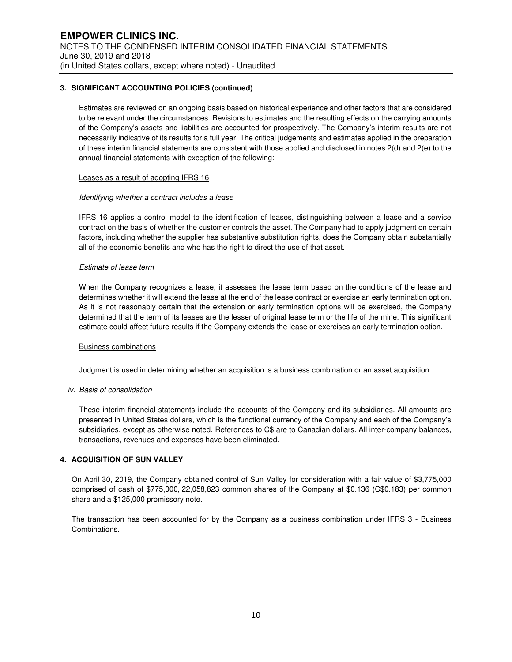Estimates are reviewed on an ongoing basis based on historical experience and other factors that are considered to be relevant under the circumstances. Revisions to estimates and the resulting effects on the carrying amounts of the Company's assets and liabilities are accounted for prospectively. The Company's interim results are not necessarily indicative of its results for a full year. The critical judgements and estimates applied in the preparation of these interim financial statements are consistent with those applied and disclosed in notes 2(d) and 2(e) to the annual financial statements with exception of the following:

#### Leases as a result of adopting IFRS 16

#### Identifying whether a contract includes a lease

IFRS 16 applies a control model to the identification of leases, distinguishing between a lease and a service contract on the basis of whether the customer controls the asset. The Company had to apply judgment on certain factors, including whether the supplier has substantive substitution rights, does the Company obtain substantially all of the economic benefits and who has the right to direct the use of that asset.

#### Estimate of lease term

When the Company recognizes a lease, it assesses the lease term based on the conditions of the lease and determines whether it will extend the lease at the end of the lease contract or exercise an early termination option. As it is not reasonably certain that the extension or early termination options will be exercised, the Company determined that the term of its leases are the lesser of original lease term or the life of the mine. This significant estimate could affect future results if the Company extends the lease or exercises an early termination option.

#### Business combinations

Judgment is used in determining whether an acquisition is a business combination or an asset acquisition.

#### iv. Basis of consolidation

These interim financial statements include the accounts of the Company and its subsidiaries. All amounts are presented in United States dollars, which is the functional currency of the Company and each of the Company's subsidiaries, except as otherwise noted. References to C\$ are to Canadian dollars. All inter-company balances, transactions, revenues and expenses have been eliminated.

### **4. ACQUISITION OF SUN VALLEY**

On April 30, 2019, the Company obtained control of Sun Valley for consideration with a fair value of \$3,775,000 comprised of cash of \$775,000, 22,058,823 common shares of the Company at \$0.136 (C\$0.183) per common share and a \$125,000 promissory note.

The transaction has been accounted for by the Company as a business combination under IFRS 3 - Business Combinations.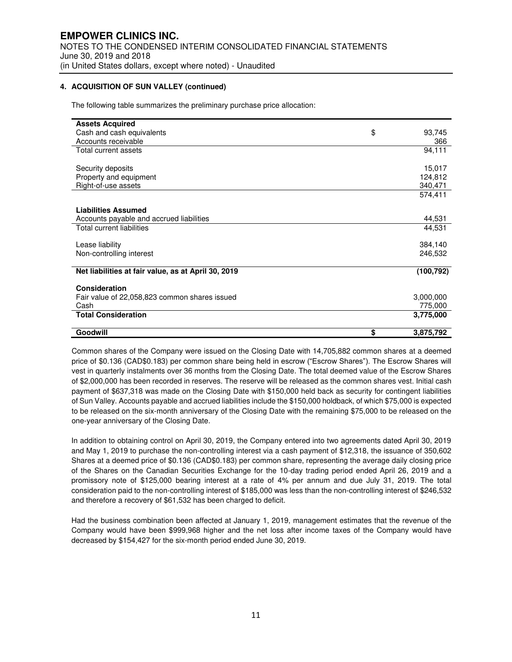### **4. ACQUISITION OF SUN VALLEY (continued)**

The following table summarizes the preliminary purchase price allocation:

| <b>Assets Acquired</b>                              |                 |
|-----------------------------------------------------|-----------------|
| Cash and cash equivalents                           | \$<br>93,745    |
| Accounts receivable                                 | 366             |
| Total current assets                                | 94,111          |
|                                                     |                 |
| Security deposits                                   | 15,017          |
| Property and equipment                              | 124,812         |
| Right-of-use assets                                 | 340,471         |
|                                                     | 574,411         |
|                                                     |                 |
| <b>Liabilities Assumed</b>                          |                 |
| Accounts payable and accrued liabilities            | 44,531          |
| <b>Total current liabilities</b>                    | 44,531          |
|                                                     |                 |
| Lease liability                                     | 384,140         |
| Non-controlling interest                            | 246,532         |
| Net liabilities at fair value, as at April 30, 2019 | (100, 792)      |
| Consideration                                       |                 |
| Fair value of 22,058,823 common shares issued       | 3,000,000       |
| Cash                                                | 775,000         |
| <b>Total Consideration</b>                          | 3,775,000       |
| Goodwill                                            | \$<br>3,875,792 |

Common shares of the Company were issued on the Closing Date with 14,705,882 common shares at a deemed price of \$0.136 (CAD\$0.183) per common share being held in escrow ("Escrow Shares"). The Escrow Shares will vest in quarterly instalments over 36 months from the Closing Date. The total deemed value of the Escrow Shares of \$2,000,000 has been recorded in reserves. The reserve will be released as the common shares vest. Initial cash payment of \$637,318 was made on the Closing Date with \$150,000 held back as security for contingent liabilities of Sun Valley. Accounts payable and accrued liabilities include the \$150,000 holdback, of which \$75,000 is expected to be released on the six-month anniversary of the Closing Date with the remaining \$75,000 to be released on the one-year anniversary of the Closing Date.

In addition to obtaining control on April 30, 2019, the Company entered into two agreements dated April 30, 2019 and May 1, 2019 to purchase the non-controlling interest via a cash payment of \$12,318, the issuance of 350,602 Shares at a deemed price of \$0.136 (CAD\$0.183) per common share, representing the average daily closing price of the Shares on the Canadian Securities Exchange for the 10-day trading period ended April 26, 2019 and a promissory note of \$125,000 bearing interest at a rate of 4% per annum and due July 31, 2019. The total consideration paid to the non-controlling interest of \$185,000 was less than the non-controlling interest of \$246,532 and therefore a recovery of \$61,532 has been charged to deficit.

Had the business combination been affected at January 1, 2019, management estimates that the revenue of the Company would have been \$999,968 higher and the net loss after income taxes of the Company would have decreased by \$154,427 for the six-month period ended June 30, 2019.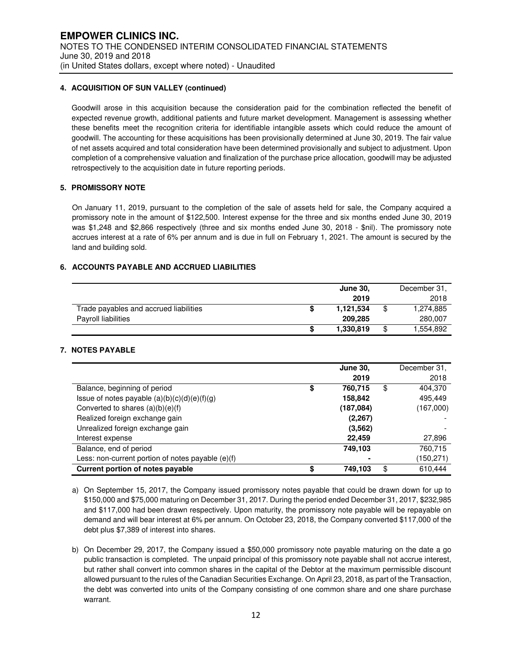#### **4. ACQUISITION OF SUN VALLEY (continued)**

Goodwill arose in this acquisition because the consideration paid for the combination reflected the benefit of expected revenue growth, additional patients and future market development. Management is assessing whether these benefits meet the recognition criteria for identifiable intangible assets which could reduce the amount of goodwill. The accounting for these acquisitions has been provisionally determined at June 30, 2019. The fair value of net assets acquired and total consideration have been determined provisionally and subject to adjustment. Upon completion of a comprehensive valuation and finalization of the purchase price allocation, goodwill may be adjusted retrospectively to the acquisition date in future reporting periods.

### **5. PROMISSORY NOTE**

On January 11, 2019, pursuant to the completion of the sale of assets held for sale, the Company acquired a promissory note in the amount of \$122,500. Interest expense for the three and six months ended June 30, 2019 was \$1,248 and \$2,866 respectively (three and six months ended June 30, 2018 - \$nil). The promissory note accrues interest at a rate of 6% per annum and is due in full on February 1, 2021. The amount is secured by the land and building sold.

### **6. ACCOUNTS PAYABLE AND ACCRUED LIABILITIES**

|                                        |  | December 31, |    |           |
|----------------------------------------|--|--------------|----|-----------|
|                                        |  | 2019         |    | 2018      |
| Trade payables and accrued liabilities |  | 1.121.534    |    | 1,274,885 |
| Payroll liabilities                    |  | 209.285      |    | 280,007   |
|                                        |  | 1,330,819    | \$ | .554.892  |

#### **7. NOTES PAYABLE**

|                                                     | <b>June 30.</b> | December 31,  |
|-----------------------------------------------------|-----------------|---------------|
|                                                     | 2019            | 2018          |
| Balance, beginning of period                        | 760,715         | \$<br>404,370 |
| Issue of notes payable $(a)(b)(c)(d)(e)(f)(g)$      | 158,842         | 495.449       |
| Converted to shares $(a)(b)(e)(f)$                  | (187,084)       | (167,000)     |
| Realized foreign exchange gain                      | (2, 267)        |               |
| Unrealized foreign exchange gain                    | (3, 562)        |               |
| Interest expense                                    | 22,459          | 27,896        |
| Balance, end of period                              | 749,103         | 760,715       |
| Less: non-current portion of notes payable $(e)(f)$ |                 | (150, 271)    |
| Current portion of notes payable                    | 749,103         | \$<br>610,444 |

- a) On September 15, 2017, the Company issued promissory notes payable that could be drawn down for up to \$150,000 and \$75,000 maturing on December 31, 2017. During the period ended December 31, 2017, \$232,985 and \$117,000 had been drawn respectively. Upon maturity, the promissory note payable will be repayable on demand and will bear interest at 6% per annum. On October 23, 2018, the Company converted \$117,000 of the debt plus \$7,389 of interest into shares.
- b) On December 29, 2017, the Company issued a \$50,000 promissory note payable maturing on the date a go public transaction is completed. The unpaid principal of this promissory note payable shall not accrue interest, but rather shall convert into common shares in the capital of the Debtor at the maximum permissible discount allowed pursuant to the rules of the Canadian Securities Exchange. On April 23, 2018, as part of the Transaction, the debt was converted into units of the Company consisting of one common share and one share purchase warrant.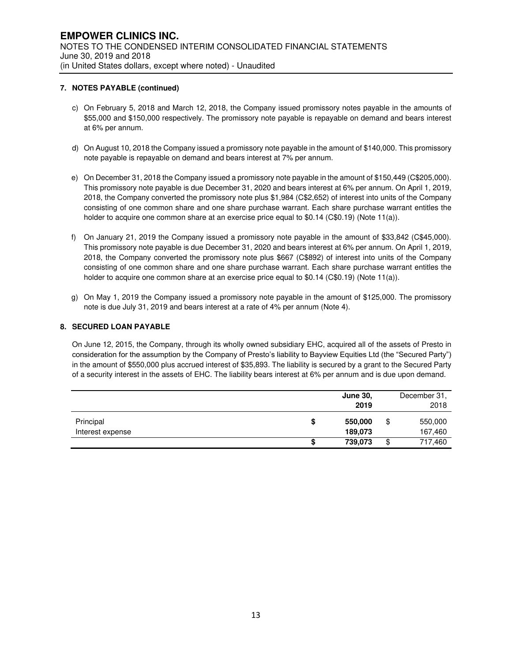### **7. NOTES PAYABLE (continued)**

- c) On February 5, 2018 and March 12, 2018, the Company issued promissory notes payable in the amounts of \$55,000 and \$150,000 respectively. The promissory note payable is repayable on demand and bears interest at 6% per annum.
- d) On August 10, 2018 the Company issued a promissory note payable in the amount of \$140,000. This promissory note payable is repayable on demand and bears interest at 7% per annum.
- e) On December 31, 2018 the Company issued a promissory note payable in the amount of \$150,449 (C\$205,000). This promissory note payable is due December 31, 2020 and bears interest at 6% per annum. On April 1, 2019, 2018, the Company converted the promissory note plus \$1,984 (C\$2,652) of interest into units of the Company consisting of one common share and one share purchase warrant. Each share purchase warrant entitles the holder to acquire one common share at an exercise price equal to \$0.14 (C\$0.19) (Note 11(a)).
- f) On January 21, 2019 the Company issued a promissory note payable in the amount of \$33,842 (C\$45,000). This promissory note payable is due December 31, 2020 and bears interest at 6% per annum. On April 1, 2019, 2018, the Company converted the promissory note plus \$667 (C\$892) of interest into units of the Company consisting of one common share and one share purchase warrant. Each share purchase warrant entitles the holder to acquire one common share at an exercise price equal to \$0.14 (C\$0.19) (Note 11(a)).
- g) On May 1, 2019 the Company issued a promissory note payable in the amount of \$125,000. The promissory note is due July 31, 2019 and bears interest at a rate of 4% per annum (Note 4).

### **8. SECURED LOAN PAYABLE**

On June 12, 2015, the Company, through its wholly owned subsidiary EHC, acquired all of the assets of Presto in consideration for the assumption by the Company of Presto's liability to Bayview Equities Ltd (the "Secured Party") in the amount of \$550,000 plus accrued interest of \$35,893. The liability is secured by a grant to the Secured Party of a security interest in the assets of EHC. The liability bears interest at 6% per annum and is due upon demand.

|                               |   | <b>June 30.</b><br>2019 | December 31,<br>2018     |
|-------------------------------|---|-------------------------|--------------------------|
|                               |   |                         |                          |
| Principal<br>Interest expense | S | 550,000<br>189,073      | \$<br>550,000<br>167,460 |
|                               |   | 739,073                 | \$<br>717,460            |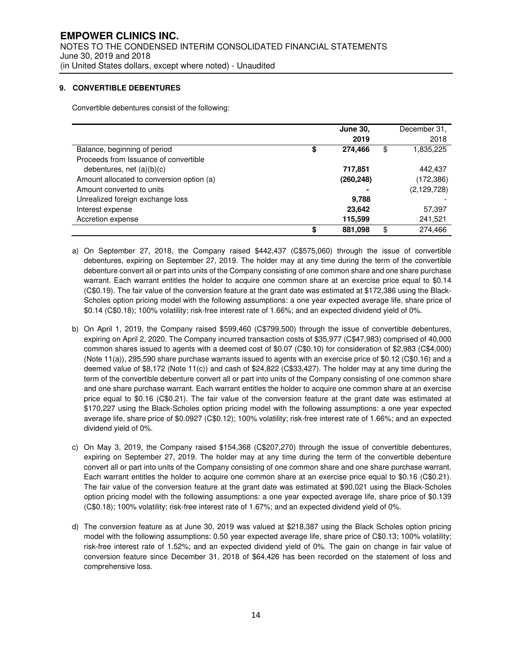#### **9. CONVERTIBLE DEBENTURES**

Convertible debentures consist of the following:

|                                           |    | <b>June 30.</b> | December 31,    |
|-------------------------------------------|----|-----------------|-----------------|
|                                           |    | 2019            | 2018            |
| Balance, beginning of period              | S  | 274,466         | \$<br>1,835,225 |
| Proceeds from Issuance of convertible     |    |                 |                 |
| debentures, net $(a)(b)(c)$               |    | 717,851         | 442,437         |
| Amount allocated to conversion option (a) |    | (260, 248)      | (172, 386)      |
| Amount converted to units                 |    |                 | (2, 129, 728)   |
| Unrealized foreign exchange loss          |    | 9.788           |                 |
| Interest expense                          |    | 23,642          | 57,397          |
| Accretion expense                         |    | 115,599         | 241,521         |
|                                           | \$ | 881,098         | \$<br>274.466   |

- a) On September 27, 2018, the Company raised \$442,437 (C\$575,060) through the issue of convertible debentures, expiring on September 27, 2019. The holder may at any time during the term of the convertible debenture convert all or part into units of the Company consisting of one common share and one share purchase warrant. Each warrant entitles the holder to acquire one common share at an exercise price equal to \$0.14 (C\$0.19). The fair value of the conversion feature at the grant date was estimated at \$172,386 using the Black-Scholes option pricing model with the following assumptions: a one year expected average life, share price of \$0.14 (C\$0.18); 100% volatility; risk-free interest rate of 1.66%; and an expected dividend yield of 0%.
- b) On April 1, 2019, the Company raised \$599,460 (C\$799,500) through the issue of convertible debentures, expiring on April 2, 2020. The Company incurred transaction costs of \$35,977 (C\$47,983) comprised of 40,000 common shares issued to agents with a deemed cost of \$0.07 (C\$0.10) for consideration of \$2,983 (C\$4,000) (Note 11(a)), 295,590 share purchase warrants issued to agents with an exercise price of \$0.12 (C\$0.16) and a deemed value of \$8,172 (Note 11(c)) and cash of \$24,822 (C\$33,427). The holder may at any time during the term of the convertible debenture convert all or part into units of the Company consisting of one common share and one share purchase warrant. Each warrant entitles the holder to acquire one common share at an exercise price equal to \$0.16 (C\$0.21). The fair value of the conversion feature at the grant date was estimated at \$170,227 using the Black-Scholes option pricing model with the following assumptions: a one year expected average life, share price of \$0.0927 (C\$0.12); 100% volatility; risk-free interest rate of 1.66%; and an expected dividend yield of 0%.
- c) On May 3, 2019, the Company raised \$154,368 (C\$207,270) through the issue of convertible debentures, expiring on September 27, 2019. The holder may at any time during the term of the convertible debenture convert all or part into units of the Company consisting of one common share and one share purchase warrant. Each warrant entitles the holder to acquire one common share at an exercise price equal to \$0.16 (C\$0.21). The fair value of the conversion feature at the grant date was estimated at \$90,021 using the Black-Scholes option pricing model with the following assumptions: a one year expected average life, share price of \$0.139 (C\$0.18); 100% volatility; risk-free interest rate of 1.67%; and an expected dividend yield of 0%.
- d) The conversion feature as at June 30, 2019 was valued at \$218,387 using the Black Scholes option pricing model with the following assumptions: 0.50 year expected average life, share price of C\$0.13; 100% volatility; risk-free interest rate of 1.52%; and an expected dividend yield of 0%. The gain on change in fair value of conversion feature since December 31, 2018 of \$64,426 has been recorded on the statement of loss and comprehensive loss.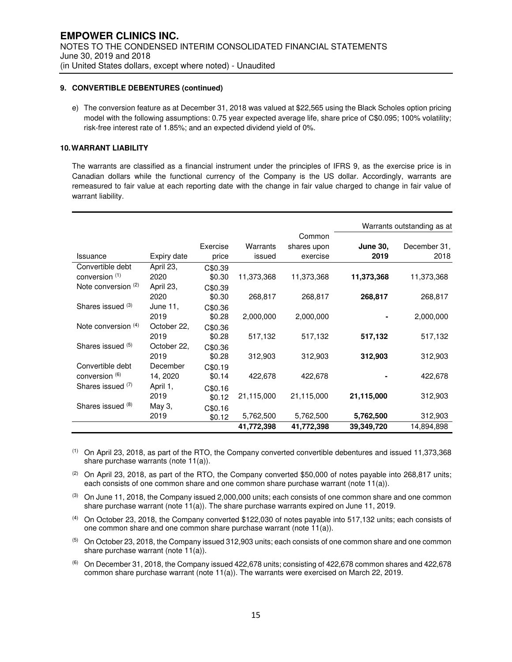#### **9. CONVERTIBLE DEBENTURES (continued)**

e) The conversion feature as at December 31, 2018 was valued at \$22,565 using the Black Scholes option pricing model with the following assumptions: 0.75 year expected average life, share price of C\$0.095; 100% volatility; risk-free interest rate of 1.85%; and an expected dividend yield of 0%.

### **10. WARRANT LIABILITY**

The warrants are classified as a financial instrument under the principles of IFRS 9, as the exercise price is in Canadian dollars while the functional currency of the Company is the US dollar. Accordingly, warrants are remeasured to fair value at each reporting date with the change in fair value charged to change in fair value of warrant liability.

|                                    |                      |                   |            |                       |                         | Warrants outstanding as at |
|------------------------------------|----------------------|-------------------|------------|-----------------------|-------------------------|----------------------------|
| Issuance                           |                      | Exercise          | Warrants   | Common<br>shares upon | <b>June 30,</b><br>2019 | December 31,<br>2018       |
|                                    | Expiry date          | price             | issued     | exercise              |                         |                            |
| Convertible debt<br>conversion (1) | April 23,<br>2020    | C\$0.39<br>\$0.30 | 11,373,368 | 11,373,368            | 11,373,368              | 11,373,368                 |
| Note conversion (2)                | April 23,<br>2020    | C\$0.39<br>\$0.30 | 268,817    | 268,817               | 268,817                 | 268,817                    |
| Shares issued (3)                  | June 11,<br>2019     | C\$0.36<br>\$0.28 | 2,000,000  | 2,000,000             |                         | 2,000,000                  |
| Note conversion $(4)$              | October 22,<br>2019  | C\$0.36<br>\$0.28 | 517,132    | 517,132               | 517,132                 | 517,132                    |
| Shares issued (5)                  | October 22,<br>2019  | C\$0.36<br>\$0.28 | 312,903    | 312,903               | 312,903                 | 312,903                    |
| Convertible debt<br>conversion (6) | December<br>14, 2020 | C\$0.19<br>\$0.14 | 422,678    | 422,678               |                         | 422,678                    |
| Shares issued (7)                  | April 1,<br>2019     | C\$0.16<br>\$0.12 | 21,115,000 | 21,115,000            | 21,115,000              | 312,903                    |
| Shares issued (8)                  | May 3,<br>2019       | C\$0.16<br>\$0.12 | 5,762,500  | 5,762,500             | 5,762,500               | 312,903                    |
|                                    |                      |                   | 41,772,398 | 41,772,398            | 39,349,720              | 14,894,898                 |

(1) On April 23, 2018, as part of the RTO, the Company converted convertible debentures and issued 11,373,368 share purchase warrants (note 11(a)).

 $(2)$  On April 23, 2018, as part of the RTO, the Company converted \$50,000 of notes payable into 268,817 units; each consists of one common share and one common share purchase warrant (note 11(a)).

<sup>(3)</sup> On June 11, 2018, the Company issued 2,000,000 units; each consists of one common share and one common share purchase warrant (note 11(a)). The share purchase warrants expired on June 11, 2019.

(4) On October 23, 2018, the Company converted \$122,030 of notes payable into 517,132 units; each consists of one common share and one common share purchase warrant (note 11(a)).

(5) On October 23, 2018, the Company issued 312,903 units; each consists of one common share and one common share purchase warrant (note 11(a)).

 $(6)$  On December 31, 2018, the Company issued 422,678 units; consisting of 422,678 common shares and 422,678 common share purchase warrant (note 11(a)). The warrants were exercised on March 22, 2019.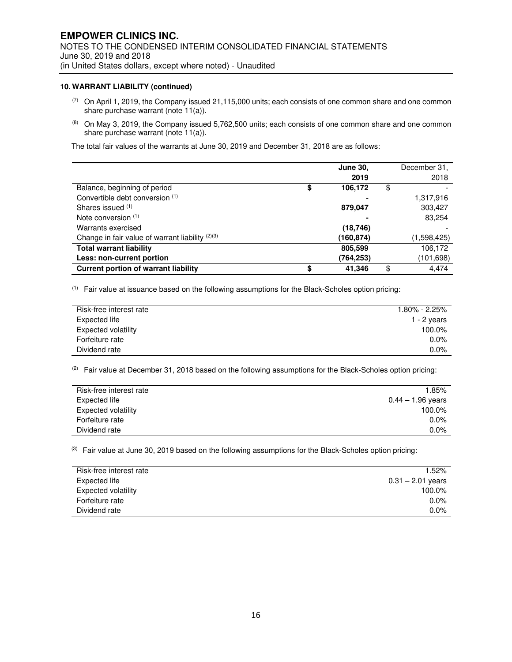#### **10. WARRANT LIABILITY (continued)**

- $(7)$  On April 1, 2019, the Company issued 21,115,000 units; each consists of one common share and one common share purchase warrant (note 11(a)).
- (8) On May 3, 2019, the Company issued 5,762,500 units; each consists of one common share and one common share purchase warrant (note 11(a)).

The total fair values of the warrants at June 30, 2019 and December 31, 2018 are as follows:

|                                                  | <b>June 30.</b> | December 31, |
|--------------------------------------------------|-----------------|--------------|
|                                                  | 2019            | 2018         |
| Balance, beginning of period                     | \$<br>106,172   | \$           |
| Convertible debt conversion (1)                  |                 | 1,317,916    |
| Shares issued (1)                                | 879,047         | 303,427      |
| Note conversion $(1)$                            |                 | 83,254       |
| Warrants exercised                               | (18, 746)       |              |
| Change in fair value of warrant liability (2)(3) | (160,874)       | (1,598,425)  |
| <b>Total warrant liability</b>                   | 805,599         | 106,172      |
| Less: non-current portion                        | (764,253)       | (101,698)    |
| <b>Current portion of warrant liability</b>      | \$<br>41,346    | \$<br>4,474  |

(1) Fair value at issuance based on the following assumptions for the Black-Scholes option pricing:

| Risk-free interest rate | $1.80\%$ - 2.25% |
|-------------------------|------------------|
| Expected life           | $1 - 2$ years    |
| Expected volatility     | 100.0%           |
| Forfeiture rate         | $0.0\%$          |
| Dividend rate           | $0.0\%$          |

 $(2)$  Fair value at December 31, 2018 based on the following assumptions for the Black-Scholes option pricing:

| Risk-free interest rate | 1.85%               |
|-------------------------|---------------------|
| Expected life           | $0.44 - 1.96$ years |
| Expected volatility     | 100.0%              |
| Forfeiture rate         | $0.0\%$             |
| Dividend rate           | $0.0\%$             |

 $(3)$  Fair value at June 30, 2019 based on the following assumptions for the Black-Scholes option pricing:

| Risk-free interest rate | 1.52%               |
|-------------------------|---------------------|
| Expected life           | $0.31 - 2.01$ years |
| Expected volatility     | $100.0\%$           |
| Forfeiture rate         | $0.0\%$             |
| Dividend rate           | $0.0\%$             |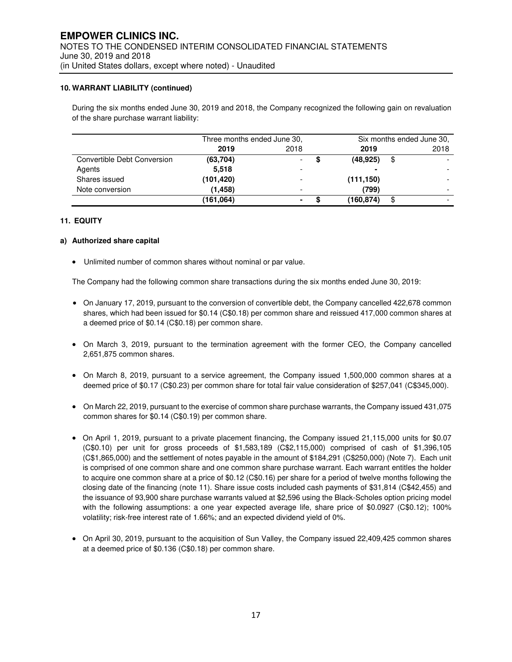#### **10. WARRANT LIABILITY (continued)**

During the six months ended June 30, 2019 and 2018, the Company recognized the following gain on revaluation of the share purchase warrant liability:

|                             | Three months ended June 30, |      | Six months ended June 30, |            |    |      |
|-----------------------------|-----------------------------|------|---------------------------|------------|----|------|
|                             | 2019                        | 2018 |                           | 2019       |    | 2018 |
| Convertible Debt Conversion | (63,704)                    |      |                           | (48, 925)  | \$ |      |
| Agents                      | 5.518                       |      |                           |            |    |      |
| Shares issued               | (101, 420)                  |      |                           | (111, 150) |    |      |
| Note conversion             | (1.458)                     |      |                           | (799)      |    |      |
|                             | (161,064)                   |      |                           | (160,874)  | \$ |      |

#### **11. EQUITY**

#### **a) Authorized share capital**

• Unlimited number of common shares without nominal or par value.

The Company had the following common share transactions during the six months ended June 30, 2019:

- On January 17, 2019, pursuant to the conversion of convertible debt, the Company cancelled 422,678 common shares, which had been issued for \$0.14 (C\$0.18) per common share and reissued 417,000 common shares at a deemed price of \$0.14 (C\$0.18) per common share.
- On March 3, 2019, pursuant to the termination agreement with the former CEO, the Company cancelled 2,651,875 common shares.
- On March 8, 2019, pursuant to a service agreement, the Company issued 1,500,000 common shares at a deemed price of \$0.17 (C\$0.23) per common share for total fair value consideration of \$257,041 (C\$345,000).
- On March 22, 2019, pursuant to the exercise of common share purchase warrants, the Company issued 431,075 common shares for \$0.14 (C\$0.19) per common share.
- On April 1, 2019, pursuant to a private placement financing, the Company issued 21,115,000 units for \$0.07 (C\$0.10) per unit for gross proceeds of \$1,583,189 (C\$2,115,000) comprised of cash of \$1,396,105 (C\$1,865,000) and the settlement of notes payable in the amount of \$184,291 (C\$250,000) (Note 7). Each unit is comprised of one common share and one common share purchase warrant. Each warrant entitles the holder to acquire one common share at a price of \$0.12 (C\$0.16) per share for a period of twelve months following the closing date of the financing (note 11). Share issue costs included cash payments of \$31,814 (C\$42,455) and the issuance of 93,900 share purchase warrants valued at \$2,596 using the Black-Scholes option pricing model with the following assumptions: a one year expected average life, share price of \$0.0927 (C\$0.12); 100% volatility; risk-free interest rate of 1.66%; and an expected dividend yield of 0%.
- On April 30, 2019, pursuant to the acquisition of Sun Valley, the Company issued 22,409,425 common shares at a deemed price of \$0.136 (C\$0.18) per common share.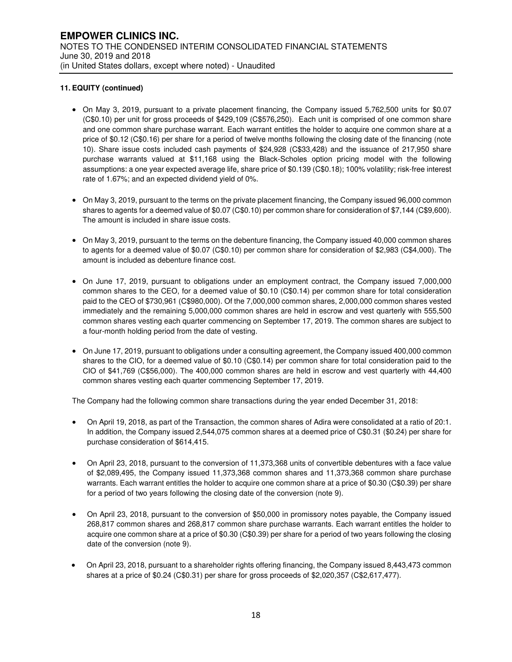- On May 3, 2019, pursuant to a private placement financing, the Company issued 5,762,500 units for \$0.07 (C\$0.10) per unit for gross proceeds of \$429,109 (C\$576,250). Each unit is comprised of one common share and one common share purchase warrant. Each warrant entitles the holder to acquire one common share at a price of \$0.12 (C\$0.16) per share for a period of twelve months following the closing date of the financing (note 10). Share issue costs included cash payments of \$24,928 (C\$33,428) and the issuance of 217,950 share purchase warrants valued at \$11,168 using the Black-Scholes option pricing model with the following assumptions: a one year expected average life, share price of \$0.139 (C\$0.18); 100% volatility; risk-free interest rate of 1.67%; and an expected dividend yield of 0%.
- On May 3, 2019, pursuant to the terms on the private placement financing, the Company issued 96,000 common shares to agents for a deemed value of \$0.07 (C\$0.10) per common share for consideration of \$7,144 (C\$9,600). The amount is included in share issue costs.
- On May 3, 2019, pursuant to the terms on the debenture financing, the Company issued 40,000 common shares to agents for a deemed value of \$0.07 (C\$0.10) per common share for consideration of \$2,983 (C\$4,000). The amount is included as debenture finance cost.
- On June 17, 2019, pursuant to obligations under an employment contract, the Company issued 7,000,000 common shares to the CEO, for a deemed value of \$0.10 (C\$0.14) per common share for total consideration paid to the CEO of \$730,961 (C\$980,000). Of the 7,000,000 common shares, 2,000,000 common shares vested immediately and the remaining 5,000,000 common shares are held in escrow and vest quarterly with 555,500 common shares vesting each quarter commencing on September 17, 2019. The common shares are subject to a four-month holding period from the date of vesting.
- On June 17, 2019, pursuant to obligations under a consulting agreement, the Company issued 400,000 common shares to the CIO, for a deemed value of \$0.10 (C\$0.14) per common share for total consideration paid to the CIO of \$41,769 (C\$56,000). The 400,000 common shares are held in escrow and vest quarterly with 44,400 common shares vesting each quarter commencing September 17, 2019.

The Company had the following common share transactions during the year ended December 31, 2018:

- On April 19, 2018, as part of the Transaction, the common shares of Adira were consolidated at a ratio of 20:1. In addition, the Company issued 2,544,075 common shares at a deemed price of C\$0.31 (\$0.24) per share for purchase consideration of \$614,415.
- On April 23, 2018, pursuant to the conversion of 11,373,368 units of convertible debentures with a face value of \$2,089,495, the Company issued 11,373,368 common shares and 11,373,368 common share purchase warrants. Each warrant entitles the holder to acquire one common share at a price of \$0.30 (C\$0.39) per share for a period of two years following the closing date of the conversion (note 9).
- On April 23, 2018, pursuant to the conversion of \$50,000 in promissory notes payable, the Company issued 268,817 common shares and 268,817 common share purchase warrants. Each warrant entitles the holder to acquire one common share at a price of \$0.30 (C\$0.39) per share for a period of two years following the closing date of the conversion (note 9).
- On April 23, 2018, pursuant to a shareholder rights offering financing, the Company issued 8,443,473 common shares at a price of \$0.24 (C\$0.31) per share for gross proceeds of \$2,020,357 (C\$2,617,477).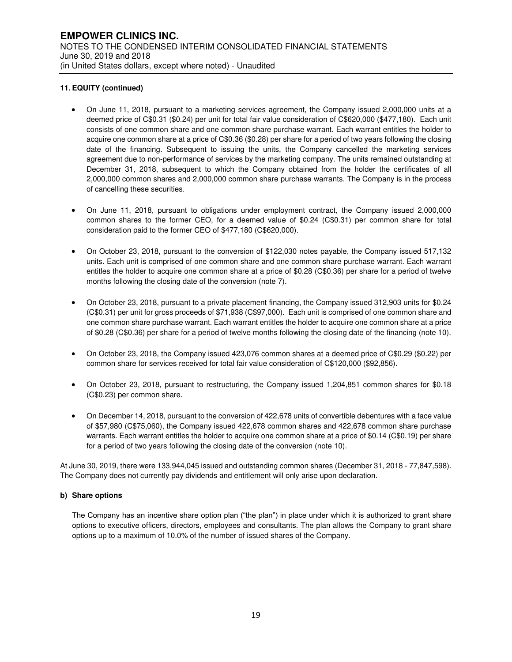- On June 11, 2018, pursuant to a marketing services agreement, the Company issued 2,000,000 units at a deemed price of C\$0.31 (\$0.24) per unit for total fair value consideration of C\$620,000 (\$477,180). Each unit consists of one common share and one common share purchase warrant. Each warrant entitles the holder to acquire one common share at a price of C\$0.36 (\$0.28) per share for a period of two years following the closing date of the financing. Subsequent to issuing the units, the Company cancelled the marketing services agreement due to non-performance of services by the marketing company. The units remained outstanding at December 31, 2018, subsequent to which the Company obtained from the holder the certificates of all 2,000,000 common shares and 2,000,000 common share purchase warrants. The Company is in the process of cancelling these securities.
- On June 11, 2018, pursuant to obligations under employment contract, the Company issued 2,000,000 common shares to the former CEO, for a deemed value of \$0.24 (C\$0.31) per common share for total consideration paid to the former CEO of \$477,180 (C\$620,000).
- On October 23, 2018, pursuant to the conversion of \$122,030 notes payable, the Company issued 517,132 units. Each unit is comprised of one common share and one common share purchase warrant. Each warrant entitles the holder to acquire one common share at a price of \$0.28 (C\$0.36) per share for a period of twelve months following the closing date of the conversion (note 7).
- On October 23, 2018, pursuant to a private placement financing, the Company issued 312,903 units for \$0.24 (C\$0.31) per unit for gross proceeds of \$71,938 (C\$97,000). Each unit is comprised of one common share and one common share purchase warrant. Each warrant entitles the holder to acquire one common share at a price of \$0.28 (C\$0.36) per share for a period of twelve months following the closing date of the financing (note 10).
- On October 23, 2018, the Company issued 423,076 common shares at a deemed price of C\$0.29 (\$0.22) per common share for services received for total fair value consideration of C\$120,000 (\$92,856).
- On October 23, 2018, pursuant to restructuring, the Company issued 1,204,851 common shares for \$0.18 (C\$0.23) per common share.
- On December 14, 2018, pursuant to the conversion of 422,678 units of convertible debentures with a face value of \$57,980 (C\$75,060), the Company issued 422,678 common shares and 422,678 common share purchase warrants. Each warrant entitles the holder to acquire one common share at a price of \$0.14 (C\$0.19) per share for a period of two years following the closing date of the conversion (note 10).

At June 30, 2019, there were 133,944,045 issued and outstanding common shares (December 31, 2018 - 77,847,598). The Company does not currently pay dividends and entitlement will only arise upon declaration.

#### **b) Share options**

The Company has an incentive share option plan ("the plan") in place under which it is authorized to grant share options to executive officers, directors, employees and consultants. The plan allows the Company to grant share options up to a maximum of 10.0% of the number of issued shares of the Company.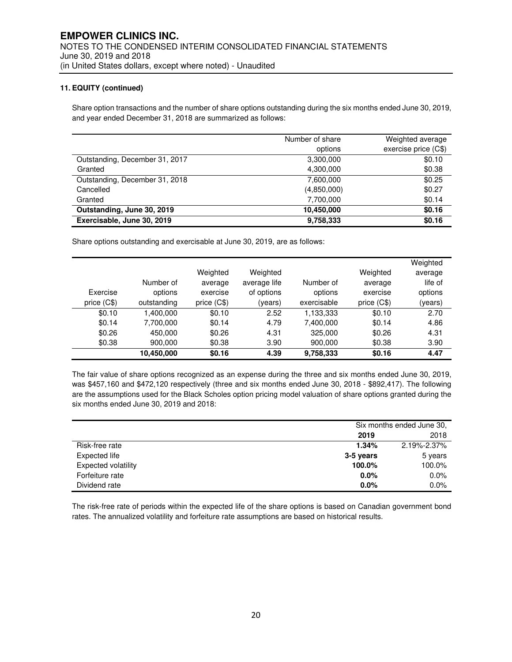Share option transactions and the number of share options outstanding during the six months ended June 30, 2019, and year ended December 31, 2018 are summarized as follows:

|                                | Number of share | Weighted average     |
|--------------------------------|-----------------|----------------------|
|                                | options         | exercise price (C\$) |
| Outstanding, December 31, 2017 | 3,300,000       | \$0.10               |
| Granted                        | 4,300,000       | \$0.38               |
| Outstanding, December 31, 2018 | 7,600,000       | \$0.25               |
| Cancelled                      | (4,850,000)     | \$0.27               |
| Granted                        | 7,700,000       | \$0.14               |
| Outstanding, June 30, 2019     | 10,450,000      | \$0.16               |
| Exercisable, June 30, 2019     | 9,758,333       | \$0.16               |

Share options outstanding and exercisable at June 30, 2019, are as follows:

|             |             |              |              |             |              | Weighted |
|-------------|-------------|--------------|--------------|-------------|--------------|----------|
|             |             | Weighted     | Weighted     |             | Weighted     | average  |
|             | Number of   | average      | average life | Number of   | average      | life of  |
| Exercise    | options     | exercise     | of options   | options     | exercise     | options  |
| price (C\$) | outstanding | price $(C$)$ | (years)      | exercisable | price $(C$)$ | (years)  |
| \$0.10      | 1,400,000   | \$0.10       | 2.52         | 1,133,333   | \$0.10       | 2.70     |
| \$0.14      | 7,700,000   | \$0.14       | 4.79         | 7,400,000   | \$0.14       | 4.86     |
| \$0.26      | 450,000     | \$0.26       | 4.31         | 325,000     | \$0.26       | 4.31     |
| \$0.38      | 900.000     | \$0.38       | 3.90         | 900.000     | \$0.38       | 3.90     |
|             | 10,450,000  | \$0.16       | 4.39         | 9,758,333   | \$0.16       | 4.47     |

The fair value of share options recognized as an expense during the three and six months ended June 30, 2019, was \$457,160 and \$472,120 respectively (three and six months ended June 30, 2018 - \$892,417). The following are the assumptions used for the Black Scholes option pricing model valuation of share options granted during the six months ended June 30, 2019 and 2018:

|                            | Six months ended June 30, |             |  |
|----------------------------|---------------------------|-------------|--|
|                            | 2019                      | 2018        |  |
| Risk-free rate             | 1.34%                     | 2.19%-2.37% |  |
| Expected life              | 3-5 years                 | 5 years     |  |
| <b>Expected volatility</b> | 100.0%                    | 100.0%      |  |
| Forfeiture rate            | 0.0%                      | 0.0%        |  |
| Dividend rate              | 0.0%                      | 0.0%        |  |

The risk-free rate of periods within the expected life of the share options is based on Canadian government bond rates. The annualized volatility and forfeiture rate assumptions are based on historical results.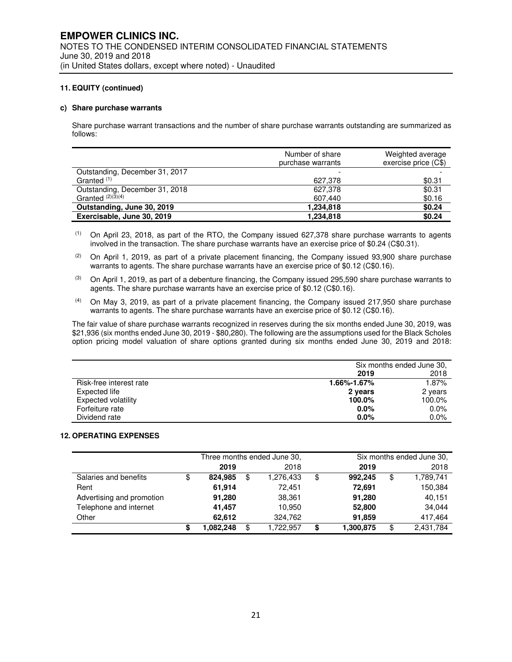#### **c) Share purchase warrants**

Share purchase warrant transactions and the number of share purchase warrants outstanding are summarized as follows:

|                                | Number of share<br>purchase warrants | Weighted average<br>exercise price (C\$) |
|--------------------------------|--------------------------------------|------------------------------------------|
| Outstanding, December 31, 2017 |                                      |                                          |
| Granted <sup>(1)</sup>         | 627,378                              | \$0.31                                   |
| Outstanding, December 31, 2018 | 627,378                              | \$0.31                                   |
| Granted $(2)(3)(4)$            | 607,440                              | \$0.16                                   |
| Outstanding, June 30, 2019     | 1,234,818                            | \$0.24                                   |
| Exercisable, June 30, 2019     | 1,234,818                            | \$0.24                                   |

- $(1)$  On April 23, 2018, as part of the RTO, the Company issued 627,378 share purchase warrants to agents involved in the transaction. The share purchase warrants have an exercise price of \$0.24 (C\$0.31).
- $(2)$  On April 1, 2019, as part of a private placement financing, the Company issued 93,900 share purchase warrants to agents. The share purchase warrants have an exercise price of \$0.12 (C\$0.16).
- $(3)$  On April 1, 2019, as part of a debenture financing, the Company issued 295,590 share purchase warrants to agents. The share purchase warrants have an exercise price of \$0.12 (C\$0.16).
- $(4)$  On May 3, 2019, as part of a private placement financing, the Company issued 217,950 share purchase warrants to agents. The share purchase warrants have an exercise price of \$0.12 (C\$0.16).

The fair value of share purchase warrants recognized in reserves during the six months ended June 30, 2019, was \$21,936 (six months ended June 30, 2019 - \$80,280). The following are the assumptions used for the Black Scholes option pricing model valuation of share options granted during six months ended June 30, 2019 and 2018:

|                            | Six months ended June 30. |         |  |
|----------------------------|---------------------------|---------|--|
|                            | 2019                      | 2018    |  |
| Risk-free interest rate    | 1.66%-1.67%               | 1.87%   |  |
| Expected life              | 2 years                   | 2 years |  |
| <b>Expected volatility</b> | 100.0%                    | 100.0%  |  |
| Forfeiture rate            | $0.0\%$                   | 0.0%    |  |
| Dividend rate              | $0.0\%$                   | $0.0\%$ |  |

#### **12. OPERATING EXPENSES**

|                           | Three months ended June 30, |    |           | Six months ended June 30, |           |    |           |
|---------------------------|-----------------------------|----|-----------|---------------------------|-----------|----|-----------|
|                           | 2019                        |    | 2018      |                           | 2019      |    | 2018      |
| Salaries and benefits     | 824.985                     | \$ | 1,276,433 | \$                        | 992.245   | \$ | 1,789,741 |
| Rent                      | 61,914                      |    | 72.451    |                           | 72,691    |    | 150,384   |
| Advertising and promotion | 91,280                      |    | 38,361    |                           | 91,280    |    | 40,151    |
| Telephone and internet    | 41.457                      |    | 10.950    |                           | 52,800    |    | 34.044    |
| Other                     | 62,612                      |    | 324.762   |                           | 91,859    |    | 417,464   |
|                           | .082.248                    | \$ | 1.722.957 | \$                        | 1,300,875 | \$ | 2,431,784 |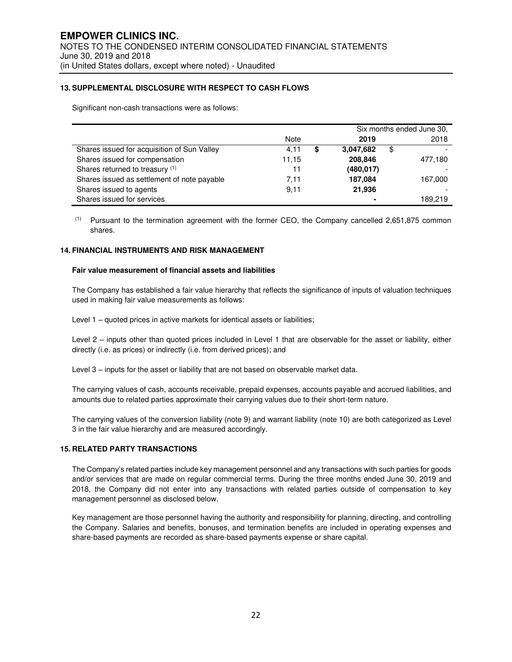#### **13. SUPPLEMENTAL DISCLOSURE WITH RESPECT TO CASH FLOWS**

Significant non-cash transactions were as follows:

|                                             |           | Six months ended June 30, |         |  |
|---------------------------------------------|-----------|---------------------------|---------|--|
|                                             | Note      | 2019                      | 2018    |  |
| Shares issued for acquisition of Sun Valley | 4,11<br>S | 3.047.682<br>\$           |         |  |
| Shares issued for compensation              | 11.15     | 208,846                   | 477,180 |  |
| Shares returned to treasury (1)             | 11        | (480, 017)                |         |  |
| Shares issued as settlement of note payable | 7.11      | 187.084                   | 167.000 |  |
| Shares issued to agents                     | 9,11      | 21,936                    |         |  |
| Shares issued for services                  |           |                           | 189.219 |  |

(1) Pursuant to the termination agreement with the former CEO, the Company cancelled 2,651,875 common shares.

#### **14. FINANCIAL INSTRUMENTS AND RISK MANAGEMENT**

#### **Fair value measurement of financial assets and liabilities**

The Company has established a fair value hierarchy that reflects the significance of inputs of valuation techniques used in making fair value measurements as follows:

Level 1 – quoted prices in active markets for identical assets or liabilities;

Level 2 – inputs other than quoted prices included in Level 1 that are observable for the asset or liability, either directly (i.e. as prices) or indirectly (i.e. from derived prices); and

Level 3 – inputs for the asset or liability that are not based on observable market data.

The carrying values of cash, accounts receivable, prepaid expenses, accounts payable and accrued liabilities, and amounts due to related parties approximate their carrying values due to their short-term nature.

The carrying values of the conversion liability (note 9) and warrant liability (note 10) are both categorized as Level 3 in the fair value hierarchy and are measured accordingly.

#### **15. RELATED PARTY TRANSACTIONS**

The Company's related parties include key management personnel and any transactions with such parties for goods and/or services that are made on regular commercial terms. During the three months ended June 30, 2019 and 2018, the Company did not enter into any transactions with related parties outside of compensation to key management personnel as disclosed below.

Key management are those personnel having the authority and responsibility for planning, directing, and controlling the Company. Salaries and benefits, bonuses, and termination benefits are included in operating expenses and share-based payments are recorded as share-based payments expense or share capital.